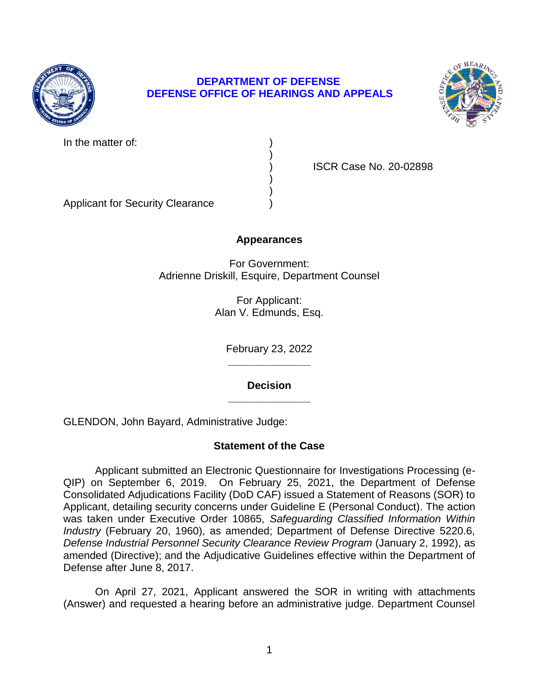

# **DEPARTMENT OF DEFENSE DEFENSE OFFICE OF HEARINGS AND APPEALS**

)

) )



In the matter of:

) ISCR Case No. 20-02898

Applicant for Security Clearance )

### **Appearances**

For Government: Adrienne Driskill, Esquire, Department Counsel

> For Applicant: Alan V. Edmunds, Esq.

> > **\_\_\_\_\_\_\_\_\_\_\_\_\_\_**  February 23, 2022

**\_\_\_\_\_\_\_\_\_\_\_\_\_\_ Decision** 

GLENDON, John Bayard, Administrative Judge:

# **Statement of the Case**

 Applicant submitted an Electronic Questionnaire for Investigations Processing (e- QIP) on September 6, 2019. On February 25, 2021, the Department of Defense Consolidated Adjudications Facility (DoD CAF) issued a Statement of Reasons (SOR) to Applicant, detailing security concerns under Guideline E (Personal Conduct). The action  was taken under Executive Order 10865, *Safeguarding Classified Information Within Industry* (February 20, 1960), as amended; Department of Defense Directive 5220.6, amended (Directive); and the Adjudicative Guidelines effective within the Department of *Defense Industrial Personnel Security Clearance Review Program* (January 2, 1992), as Defense after June 8, 2017.

 On April 27, 2021, Applicant answered the SOR in writing with attachments (Answer) and requested a hearing before an administrative judge. Department Counsel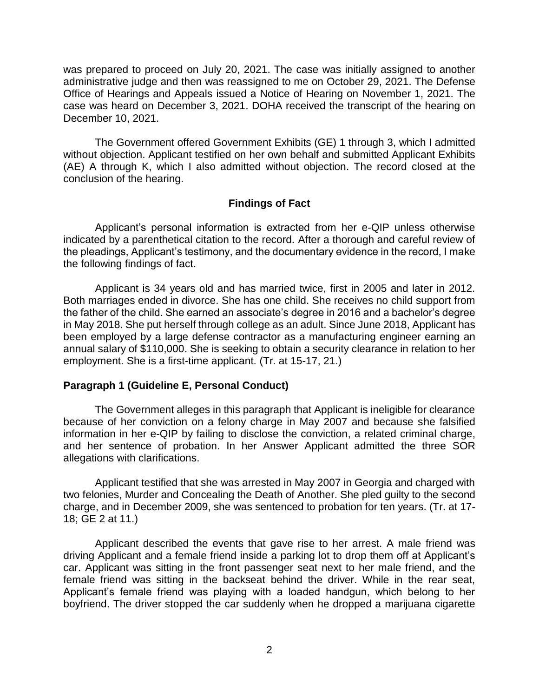was prepared to proceed on July 20, 2021. The case was initially assigned to another administrative judge and then was reassigned to me on October 29, 2021. The Defense Office of Hearings and Appeals issued a Notice of Hearing on November 1, 2021. The case was heard on December 3, 2021. DOHA received the transcript of the hearing on December 10, 2021.

 without objection. Applicant testified on her own behalf and submitted Applicant Exhibits (AE) A through K, which I also admitted without objection. The record closed at the The Government offered Government Exhibits (GE) 1 through 3, which I admitted conclusion of the hearing.

### **Findings of Fact**

 Applicant's personal information is extracted from her e-QIP unless otherwise indicated by a parenthetical citation to the record. After a thorough and careful review of the pleadings, Applicant's testimony, and the documentary evidence in the record, I make the following findings of fact.

 Applicant is 34 years old and has married twice, first in 2005 and later in 2012. Both marriages ended in divorce. She has one child. She receives no child support from the father of the child. She earned an associate's degree in 2016 and a bachelor's degree in May 2018. She put herself through college as an adult. Since June 2018, Applicant has been employed by a large defense contractor as a manufacturing engineer earning an annual salary of \$110,000. She is seeking to obtain a security clearance in relation to her employment. She is a first-time applicant. (Tr. at 15-17, 21.)

### **Paragraph 1 (Guideline E, Personal Conduct)**

 The Government alleges in this paragraph that Applicant is ineligible for clearance because of her conviction on a felony charge in May 2007 and because she falsified information in her e-QIP by failing to disclose the conviction, a related criminal charge, and her sentence of probation. In her Answer Applicant admitted the three SOR allegations with clarifications.

Applicant testified that she was arrested in May 2007 in Georgia and charged with two felonies, Murder and Concealing the Death of Another. She pled guilty to the second charge, and in December 2009, she was sentenced to probation for ten years. (Tr. at 17- 18; GE 2 at 11.)

 Applicant described the events that gave rise to her arrest. A male friend was driving Applicant and a female friend inside a parking lot to drop them off at Applicant's car. Applicant was sitting in the front passenger seat next to her male friend, and the female friend was sitting in the backseat behind the driver. While in the rear seat, Applicant's female friend was playing with a loaded handgun, which belong to her boyfriend. The driver stopped the car suddenly when he dropped a marijuana cigarette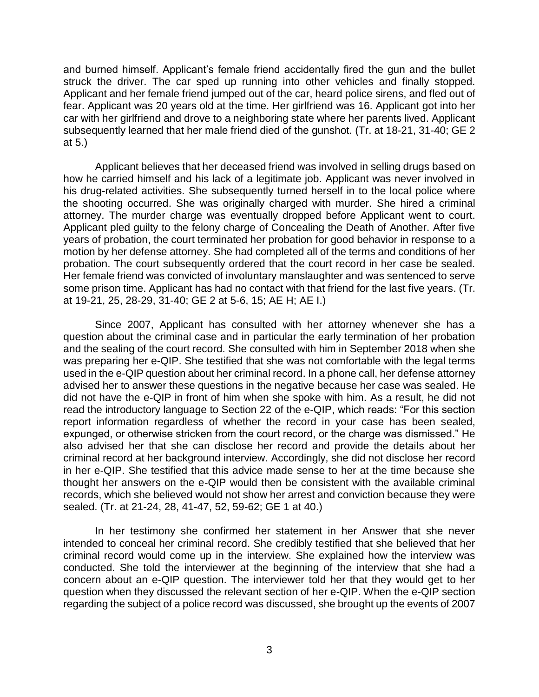and burned himself. Applicant's female friend accidentally fired the gun and the bullet struck the driver. The car sped up running into other vehicles and finally stopped. Applicant and her female friend jumped out of the car, heard police sirens, and fled out of car with her girlfriend and drove to a neighboring state where her parents lived. Applicant subsequently learned that her male friend died of the gunshot. (Tr. at 18-21, 31-40; GE 2 fear. Applicant was 20 years old at the time. Her girlfriend was 16. Applicant got into her at 5.)

 Applicant believes that her deceased friend was involved in selling drugs based on how he carried himself and his lack of a legitimate job. Applicant was never involved in his drug-related activities. She subsequently turned herself in to the local police where the shooting occurred. She was originally charged with murder. She hired a criminal attorney. The murder charge was eventually dropped before Applicant went to court. Applicant pled guilty to the felony charge of Concealing the Death of Another. After five motion by her defense attorney. She had completed all of the terms and conditions of her probation. The court subsequently ordered that the court record in her case be sealed. Her female friend was convicted of involuntary manslaughter and was sentenced to serve some prison time. Applicant has had no contact with that friend for the last five years. (Tr. years of probation, the court terminated her probation for good behavior in response to a at 19-21, 25, 28-29, 31-40; GE 2 at 5-6, 15; AE H; AE I.)

 Since 2007, Applicant has consulted with her attorney whenever she has a question about the criminal case and in particular the early termination of her probation and the sealing of the court record. She consulted with him in September 2018 when she was preparing her e-QIP. She testified that she was not comfortable with the legal terms used in the e-QIP question about her criminal record. In a phone call, her defense attorney advised her to answer these questions in the negative because her case was sealed. He did not have the e-QIP in front of him when she spoke with him. As a result, he did not read the introductory language to Section 22 of the e-QIP, which reads: "For this section report information regardless of whether the record in your case has been sealed, expunged, or otherwise stricken from the court record, or the charge was dismissed." He also advised her that she can disclose her record and provide the details about her in her e-QIP. She testified that this advice made sense to her at the time because she thought her answers on the e-QIP would then be consistent with the available criminal records, which she believed would not show her arrest and conviction because they were criminal record at her background interview. Accordingly, she did not disclose her record sealed. (Tr. at 21-24, 28, 41-47, 52, 59-62; GE 1 at 40.)

 In her testimony she confirmed her statement in her Answer that she never intended to conceal her criminal record. She credibly testified that she believed that her criminal record would come up in the interview. She explained how the interview was conducted. She told the interviewer at the beginning of the interview that she had a concern about an e-QIP question. The interviewer told her that they would get to her question when they discussed the relevant section of her e-QIP. When the e-QIP section regarding the subject of a police record was discussed, she brought up the events of 2007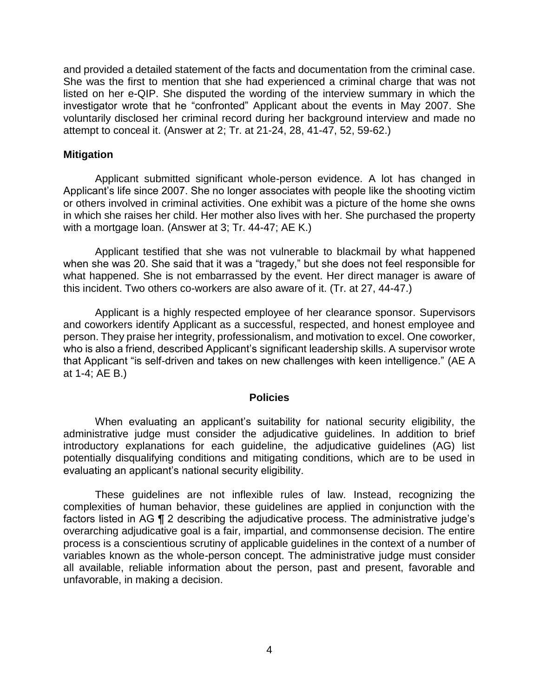and provided a detailed statement of the facts and documentation from the criminal case. She was the first to mention that she had experienced a criminal charge that was not listed on her e-QIP. She disputed the wording of the interview summary in which the investigator wrote that he "confronted" Applicant about the events in May 2007. She voluntarily disclosed her criminal record during her background interview and made no attempt to conceal it. (Answer at 2; Tr. at 21-24, 28, 41-47, 52, 59-62.)

### **Mitigation**

 Applicant submitted significant whole-person evidence. A lot has changed in or others involved in criminal activities. One exhibit was a picture of the home she owns in which she raises her child. Her mother also lives with her. She purchased the property Applicant's life since 2007. She no longer associates with people like the shooting victim with a mortgage loan. (Answer at 3; Tr. 44-47; AE K.)

Applicant testified that she was not vulnerable to blackmail by what happened when she was 20. She said that it was a "tragedy," but she does not feel responsible for what happened. She is not embarrassed by the event. Her direct manager is aware of this incident. Two others co-workers are also aware of it. (Tr. at 27, 44-47.)

 Applicant is a highly respected employee of her clearance sponsor. Supervisors and coworkers identify Applicant as a successful, respected, and honest employee and person. They praise her integrity, professionalism, and motivation to excel. One coworker, who is also a friend, described Applicant's significant leadership skills. A supervisor wrote that Applicant "is self-driven and takes on new challenges with keen intelligence." (AE A at 1-4; AE B.)

#### **Policies**

 When evaluating an applicant's suitability for national security eligibility, the administrative judge must consider the adjudicative guidelines. In addition to brief potentially disqualifying conditions and mitigating conditions, which are to be used in introductory explanations for each guideline, the adjudicative guidelines (AG) list evaluating an applicant's national security eligibility.

 These guidelines are not inflexible rules of law. Instead, recognizing the complexities of human behavior, these guidelines are applied in conjunction with the factors listed in AG ¶ 2 describing the adjudicative process. The administrative judge's overarching adjudicative goal is a fair, impartial, and commonsense decision. The entire variables known as the whole-person concept. The administrative judge must consider all available, reliable information about the person, past and present, favorable and process is a conscientious scrutiny of applicable guidelines in the context of a number of unfavorable, in making a decision.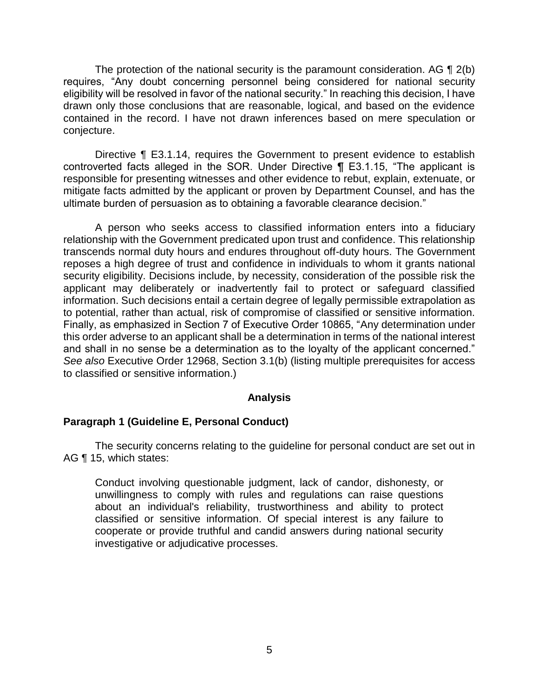The protection of the national security is the paramount consideration. AG  $\P$  2(b) requires, "Any doubt concerning personnel being considered for national security eligibility will be resolved in favor of the national security." In reaching this decision, I have drawn only those conclusions that are reasonable, logical, and based on the evidence contained in the record. I have not drawn inferences based on mere speculation or conjecture.

Directive ¶ E3.1.14, requires the Government to present evidence to establish controverted facts alleged in the SOR. Under Directive ¶ E3.1.15, "The applicant is responsible for presenting witnesses and other evidence to rebut, explain, extenuate, or mitigate facts admitted by the applicant or proven by Department Counsel, and has the ultimate burden of persuasion as to obtaining a favorable clearance decision."

 A person who seeks access to classified information enters into a fiduciary relationship with the Government predicated upon trust and confidence. This relationship transcends normal duty hours and endures throughout off-duty hours. The Government reposes a high degree of trust and confidence in individuals to whom it grants national security eligibility. Decisions include, by necessity, consideration of the possible risk the applicant may deliberately or inadvertently fail to protect or safeguard classified information. Such decisions entail a certain degree of legally permissible extrapolation as to potential, rather than actual, risk of compromise of classified or sensitive information. Finally, as emphasized in Section 7 of Executive Order 10865, "Any determination under this order adverse to an applicant shall be a determination in terms of the national interest and shall in no sense be a determination as to the loyalty of the applicant concerned." *See also* Executive Order 12968, Section 3.1(b) (listing multiple prerequisites for access to classified or sensitive information.)

#### **Analysis**

### **Paragraph 1 (Guideline E, Personal Conduct)**

 The security concerns relating to the guideline for personal conduct are set out in AG ¶ 15, which states:

Conduct involving questionable judgment, lack of candor, dishonesty, or unwillingness to comply with rules and regulations can raise questions about an individual's reliability, trustworthiness and ability to protect classified or sensitive information. Of special interest is any failure to cooperate or provide truthful and candid answers during national security investigative or adjudicative processes.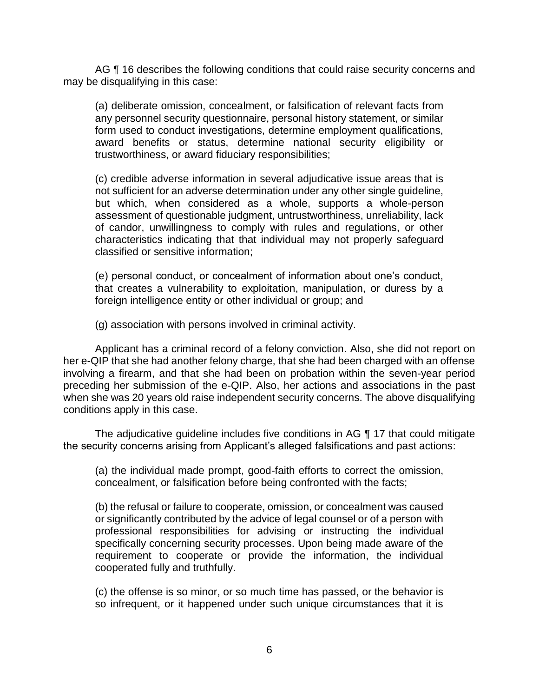AG ¶ 16 describes the following conditions that could raise security concerns and may be disqualifying in this case:

(a) deliberate omission, concealment, or falsification of relevant facts from any personnel security questionnaire, personal history statement, or similar form used to conduct investigations, determine employment qualifications, award benefits or status, determine national security eligibility or trustworthiness, or award fiduciary responsibilities;

(c) credible adverse information in several adjudicative issue areas that is not sufficient for an adverse determination under any other single guideline, but which, when considered as a whole, supports a whole-person assessment of questionable judgment, untrustworthiness, unreliability, lack of candor, unwillingness to comply with rules and regulations, or other characteristics indicating that that individual may not properly safeguard classified or sensitive information;

(e) personal conduct, or concealment of information about one's conduct, that creates a vulnerability to exploitation, manipulation, or duress by a foreign intelligence entity or other individual or group; and

(g) association with persons involved in criminal activity.

 Applicant has a criminal record of a felony conviction. Also, she did not report on her e-QIP that she had another felony charge, that she had been charged with an offense involving a firearm, and that she had been on probation within the seven-year period preceding her submission of the e-QIP. Also, her actions and associations in the past when she was 20 years old raise independent security concerns. The above disqualifying conditions apply in this case.

The adjudicative guideline includes five conditions in AG ¶ 17 that could mitigate the security concerns arising from Applicant's alleged falsifications and past actions:

(a) the individual made prompt, good-faith efforts to correct the omission , concealment, or falsification before being confronted with the facts;

(b) the refusal or failure to cooperate, omission, or concealment was caused or significantly contributed by the advice of legal counsel or of a person with professional responsibilities for advising or instructing the individual specifically concerning security processes. Upon being made aware of the requirement to cooperate or provide the information, the individual cooperated fully and truthfully.

 (c) the offense is so minor, or so much time has passed, or the behavior is so infrequent, or it happened under such unique circumstances that it is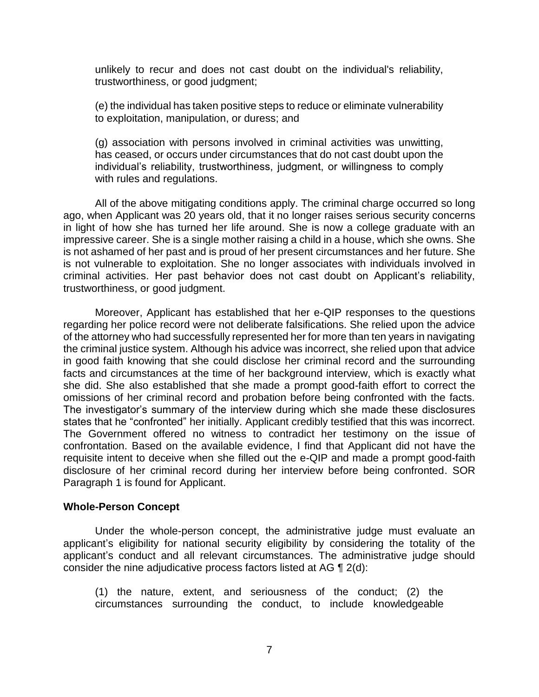unlikely to recur and does not cast doubt on the individual's reliability, trustworthiness, or good judgment;

(e) the individual has taken positive steps to reduce or eliminate vulnerability to exploitation, manipulation, or duress; and

(g) association with persons involved in criminal activities was unwitting, has ceased, or occurs under circumstances that do not cast doubt upon the individual's reliability, trustworthiness, judgment, or willingness to comply with rules and regulations.

 All of the above mitigating conditions apply. The criminal charge occurred so long ago, when Applicant was 20 years old, that it no longer raises serious security concerns in light of how she has turned her life around. She is now a college graduate with an impressive career. She is a single mother raising a child in a house, which she owns. She is not ashamed of her past and is proud of her present circumstances and her future. She is not vulnerable to exploitation. She no longer associates with individuals involved in criminal activities. Her past behavior does not cast doubt on Applicant's reliability, trustworthiness, or good judgment.

 Moreover, Applicant has established that her e-QIP responses to the questions regarding her police record were not deliberate falsifications. She relied upon the advice of the attorney who had successfully represented her for more than ten years in navigating the criminal justice system. Although his advice was incorrect, she relied upon that advice in good faith knowing that she could disclose her criminal record and the surrounding facts and circumstances at the time of her background interview, which is exactly what she did. She also established that she made a prompt good-faith effort to correct the omissions of her criminal record and probation before being confronted with the facts. The investigator's summary of the interview during which she made these disclosures The Government offered no witness to contradict her testimony on the issue of confrontation. Based on the available evidence, I find that Applicant did not have the requisite intent to deceive when she filled out the e-QIP and made a prompt good-faith disclosure of her criminal record during her interview before being confronted. SOR states that he "confronted" her initially. Applicant credibly testified that this was incorrect. Paragraph 1 is found for Applicant.

#### **Whole-Person Concept**

 Under the whole-person concept, the administrative judge must evaluate an applicant's eligibility for national security eligibility by considering the totality of the applicant's conduct and all relevant circumstances. The administrative judge should consider the nine adjudicative process factors listed at AG ¶ 2(d):

 (1) the nature, extent, and seriousness of the conduct; (2) the circumstances surrounding the conduct, to include knowledgeable